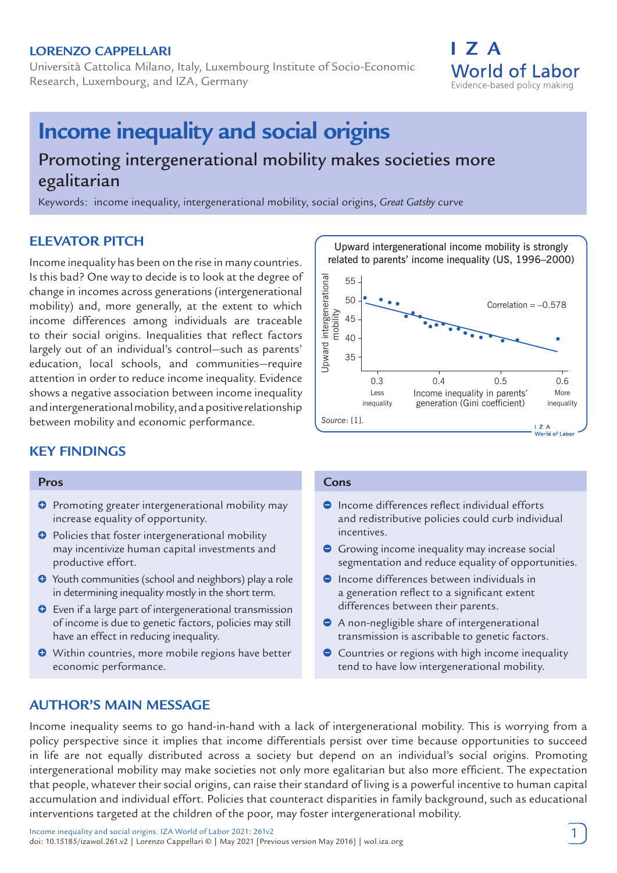### **LORENZO CAPPELLARI**

Università Cattolica Milano, Italy, Luxembourg Institute of Socio-Economic Research, Luxembourg, and IZA, Germany

# **Income inequality and social origins**

# Promoting intergenerational mobility makes societies more egalitarian

Keywords: income inequality, intergenerational mobility, social origins, *Great Gatsby* curve

# **ELEVATOR PITCH**

Income inequality has been on the rise in many countries. Is this bad? One way to decide is to look at the degree of change in incomes across generations (intergenerational mobility) and, more generally, at the extent to which income differences among individuals are traceable to their social origins. Inequalities that reflect factors largely out of an individual's control—such as parents' education, local schools, and communities—require attention in order to reduce income inequality. Evidence shows a negative association between income inequality and intergenerational mobility, and a positive relationship between mobility and economic performance.

# **KEY FINDINGS**

#### **Pros**

- **O** Promoting greater intergenerational mobility may increase equality of opportunity.
- $\Theta$  Policies that foster intergenerational mobility may incentivize human capital investments and productive effort.
- Youth communities (school and neighbors) play a role in determining inequality mostly in the short term.
- Even if a large part of intergenerational transmission of income is due to genetic factors, policies may still have an effect in reducing inequality.
- Within countries, more mobile regions have better economic performance.



I 7 A

**World of Labor** Evidence-based policy making

#### **Cons**

- Income differences reflect individual efforts and redistributive policies could curb individual incentives.
- Growing income inequality may increase social segmentation and reduce equality of opportunities.
- $\bullet$  Income differences between individuals in a generation reflect to a significant extent differences between their parents.
- A non-negligible share of intergenerational transmission is ascribable to genetic factors.
- **Countries or regions with high income inequality** tend to have low intergenerational mobility.

# **AUTHOR'S MAIN MESSAGE**

Income inequality seems to go hand-in-hand with a lack of intergenerational mobility. This is worrying from a policy perspective since it implies that income differentials persist over time because opportunities to succeed in life are not equally distributed across a society but depend on an individual's social origins. Promoting intergenerational mobility may make societies not only more egalitarian but also more efficient. The expectation that people, whatever their social origins, can raise their standard of living is a powerful incentive to human capital accumulation and individual effort. Policies that counteract disparities in family background, such as educational interventions targeted at the children of the poor, may foster intergenerational mobility.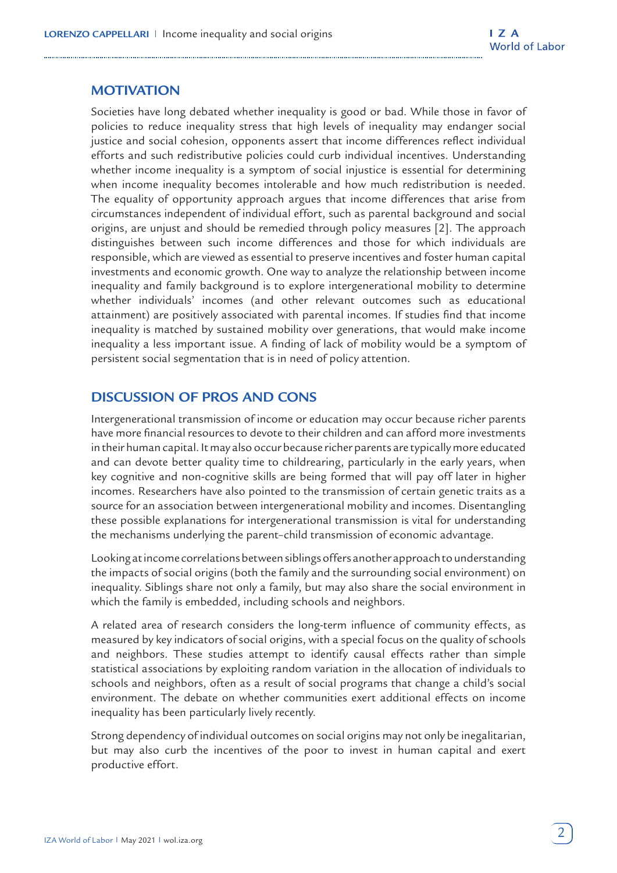# **MOTIVATION**

Societies have long debated whether inequality is good or bad. While those in favor of policies to reduce inequality stress that high levels of inequality may endanger social justice and social cohesion, opponents assert that income differences reflect individual efforts and such redistributive policies could curb individual incentives. Understanding whether income inequality is a symptom of social injustice is essential for determining when income inequality becomes intolerable and how much redistribution is needed. The equality of opportunity approach argues that income differences that arise from circumstances independent of individual effort, such as parental background and social origins, are unjust and should be remedied through policy measures [2]. The approach distinguishes between such income differences and those for which individuals are responsible, which are viewed as essential to preserve incentives and foster human capital investments and economic growth. One way to analyze the relationship between income inequality and family background is to explore intergenerational mobility to determine whether individuals' incomes (and other relevant outcomes such as educational attainment) are positively associated with parental incomes. If studies find that income inequality is matched by sustained mobility over generations, that would make income inequality a less important issue. A finding of lack of mobility would be a symptom of persistent social segmentation that is in need of policy attention.

# **DISCUSSION OF PROS AND CONS**

Intergenerational transmission of income or education may occur because richer parents have more financial resources to devote to their children and can afford more investments in their human capital. It may also occur because richer parents are typically more educated and can devote better quality time to childrearing, particularly in the early years, when key cognitive and non-cognitive skills are being formed that will pay off later in higher incomes. Researchers have also pointed to the transmission of certain genetic traits as a source for an association between intergenerational mobility and incomes. Disentangling these possible explanations for intergenerational transmission is vital for understanding the mechanisms underlying the parent–child transmission of economic advantage.

Looking at income correlations between siblings offers another approach to understanding the impacts of social origins (both the family and the surrounding social environment) on inequality. Siblings share not only a family, but may also share the social environment in which the family is embedded, including schools and neighbors.

A related area of research considers the long-term influence of community effects, as measured by key indicators of social origins, with a special focus on the quality of schools and neighbors. These studies attempt to identify causal effects rather than simple statistical associations by exploiting random variation in the allocation of individuals to schools and neighbors, often as a result of social programs that change a child's social environment. The debate on whether communities exert additional effects on income inequality has been particularly lively recently.

Strong dependency of individual outcomes on social origins may not only be inegalitarian, but may also curb the incentives of the poor to invest in human capital and exert productive effort.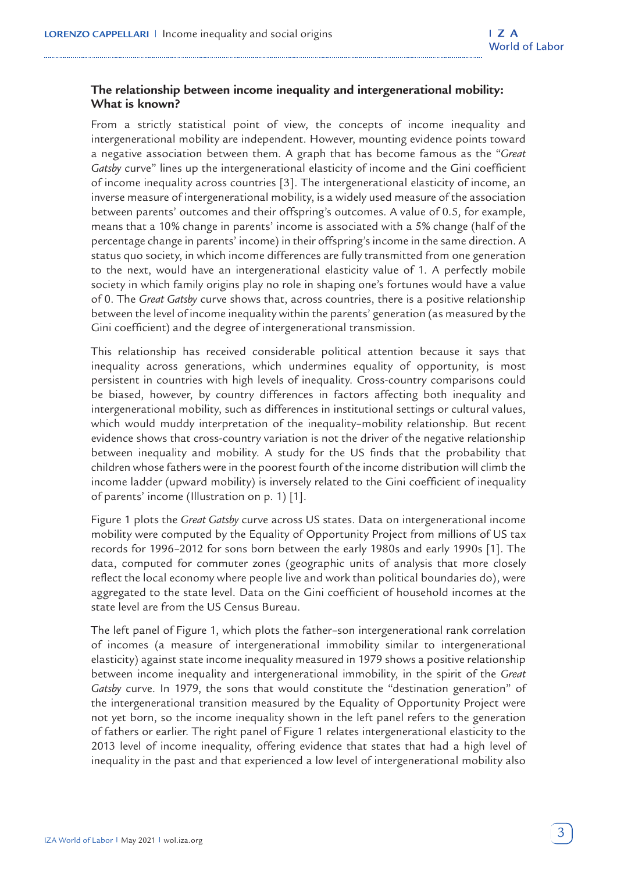# **The relationship between income inequality and intergenerational mobility: What is known?**

From a strictly statistical point of view, the concepts of income inequality and intergenerational mobility are independent. However, mounting evidence points toward a negative association between them. A graph that has become famous as the "*Great Gatsby* curve" lines up the intergenerational elasticity of income and the Gini coefficient of income inequality across countries [3]. The intergenerational elasticity of income, an inverse measure of intergenerational mobility, is a widely used measure of the association between parents' outcomes and their offspring's outcomes. A value of 0.5, for example, means that a 10% change in parents' income is associated with a 5% change (half of the percentage change in parents' income) in their offspring's income in the same direction. A status quo society, in which income differences are fully transmitted from one generation to the next, would have an intergenerational elasticity value of 1. A perfectly mobile society in which family origins play no role in shaping one's fortunes would have a value of 0. The *Great Gatsby* curve shows that, across countries, there is a positive relationship between the level of income inequality within the parents' generation (as measured by the Gini coefficient) and the degree of intergenerational transmission.

This relationship has received considerable political attention because it says that inequality across generations, which undermines equality of opportunity, is most persistent in countries with high levels of inequality. Cross-country comparisons could be biased, however, by country differences in factors affecting both inequality and intergenerational mobility, such as differences in institutional settings or cultural values, which would muddy interpretation of the inequality–mobility relationship. But recent evidence shows that cross-country variation is not the driver of the negative relationship between inequality and mobility. A study for the US finds that the probability that children whose fathers were in the poorest fourth of the income distribution will climb the income ladder (upward mobility) is inversely related to the Gini coefficient of inequality of parents' income (Illustration on p. 1) [1].

Figure 1 plots the *Great Gatsby* curve across US states. Data on intergenerational income mobility were computed by the Equality of Opportunity Project from millions of US tax records for 1996–2012 for sons born between the early 1980s and early 1990s [1]. The data, computed for commuter zones (geographic units of analysis that more closely reflect the local economy where people live and work than political boundaries do), were aggregated to the state level. Data on the Gini coefficient of household incomes at the state level are from the US Census Bureau.

The left panel of Figure 1, which plots the father–son intergenerational rank correlation of incomes (a measure of intergenerational immobility similar to intergenerational elasticity) against state income inequality measured in 1979 shows a positive relationship between income inequality and intergenerational immobility, in the spirit of the *Great Gatsby* curve. In 1979, the sons that would constitute the "destination generation" of the intergenerational transition measured by the Equality of Opportunity Project were not yet born, so the income inequality shown in the left panel refers to the generation of fathers or earlier. The right panel of Figure 1 relates intergenerational elasticity to the 2013 level of income inequality, offering evidence that states that had a high level of inequality in the past and that experienced a low level of intergenerational mobility also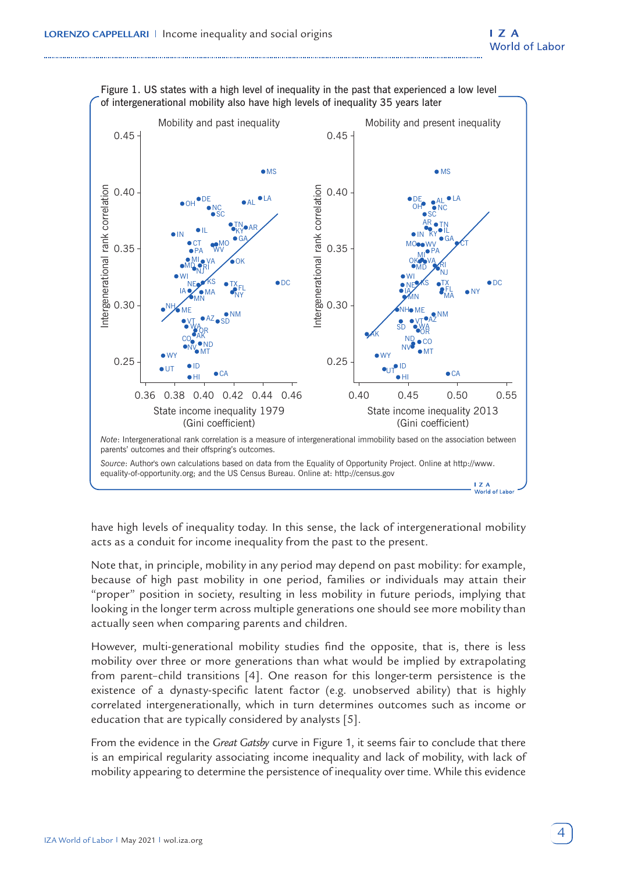

Figure 1. US states with a high level of inequality in the past that experienced a low level of intergenerational mobility also have high levels of inequality 35 years later

have high levels of inequality today. In this sense, the lack of intergenerational mobility acts as a conduit for income inequality from the past to the present.

Note that, in principle, mobility in any period may depend on past mobility: for example, because of high past mobility in one period, families or individuals may attain their "proper" position in society, resulting in less mobility in future periods, implying that looking in the longer term across multiple generations one should see more mobility than actually seen when comparing parents and children.

However, multi-generational mobility studies find the opposite, that is, there is less mobility over three or more generations than what would be implied by extrapolating from parent–child transitions [4]. One reason for this longer-term persistence is the existence of a dynasty-specific latent factor (e.g. unobserved ability) that is highly correlated intergenerationally, which in turn determines outcomes such as income or education that are typically considered by analysts [5].

From the evidence in the *Great Gatsby* curve in Figure 1, it seems fair to conclude that there is an empirical regularity associating income inequality and lack of mobility, with lack of mobility appearing to determine the persistence of inequality over time. While this evidence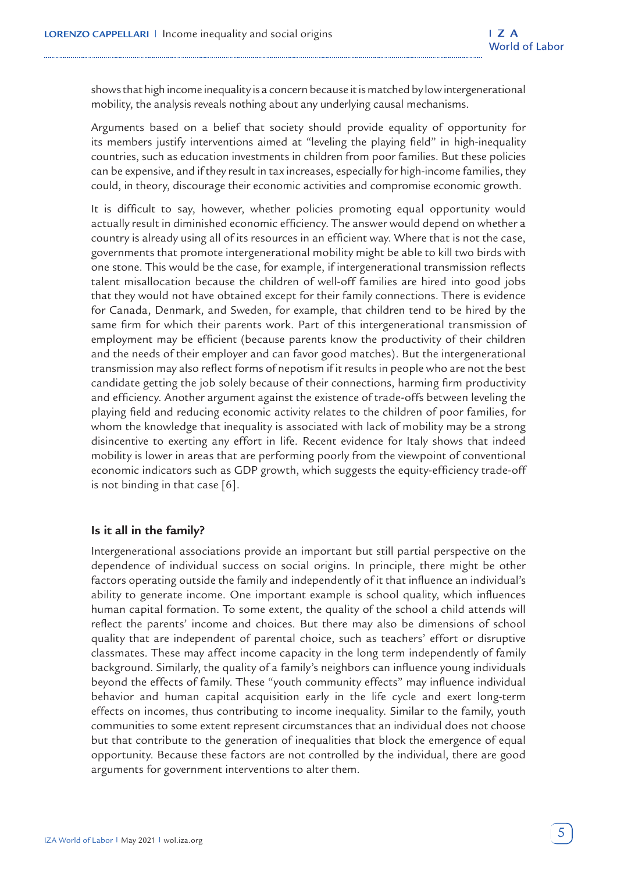shows that high income inequality is a concern because it is matched by low intergenerational mobility, the analysis reveals nothing about any underlying causal mechanisms.

Arguments based on a belief that society should provide equality of opportunity for its members justify interventions aimed at "leveling the playing field" in high-inequality countries, such as education investments in children from poor families. But these policies can be expensive, and if they result in tax increases, especially for high-income families, they could, in theory, discourage their economic activities and compromise economic growth.

It is difficult to say, however, whether policies promoting equal opportunity would actually result in diminished economic efficiency. The answer would depend on whether a country is already using all of its resources in an efficient way. Where that is not the case, governments that promote intergenerational mobility might be able to kill two birds with one stone. This would be the case, for example, if intergenerational transmission reflects talent misallocation because the children of well-off families are hired into good jobs that they would not have obtained except for their family connections. There is evidence for Canada, Denmark, and Sweden, for example, that children tend to be hired by the same firm for which their parents work. Part of this intergenerational transmission of employment may be efficient (because parents know the productivity of their children and the needs of their employer and can favor good matches). But the intergenerational transmission may also reflect forms of nepotism if it results in people who are not the best candidate getting the job solely because of their connections, harming firm productivity and efficiency. Another argument against the existence of trade-offs between leveling the playing field and reducing economic activity relates to the children of poor families, for whom the knowledge that inequality is associated with lack of mobility may be a strong disincentive to exerting any effort in life. Recent evidence for Italy shows that indeed mobility is lower in areas that are performing poorly from the viewpoint of conventional economic indicators such as GDP growth, which suggests the equity-efficiency trade-off is not binding in that case [6].

#### **Is it all in the family?**

Intergenerational associations provide an important but still partial perspective on the dependence of individual success on social origins. In principle, there might be other factors operating outside the family and independently of it that influence an individual's ability to generate income. One important example is school quality, which influences human capital formation. To some extent, the quality of the school a child attends will reflect the parents' income and choices. But there may also be dimensions of school quality that are independent of parental choice, such as teachers' effort or disruptive classmates. These may affect income capacity in the long term independently of family background. Similarly, the quality of a family's neighbors can influence young individuals beyond the effects of family. These "youth community effects" may influence individual behavior and human capital acquisition early in the life cycle and exert long-term effects on incomes, thus contributing to income inequality. Similar to the family, youth communities to some extent represent circumstances that an individual does not choose but that contribute to the generation of inequalities that block the emergence of equal opportunity. Because these factors are not controlled by the individual, there are good arguments for government interventions to alter them.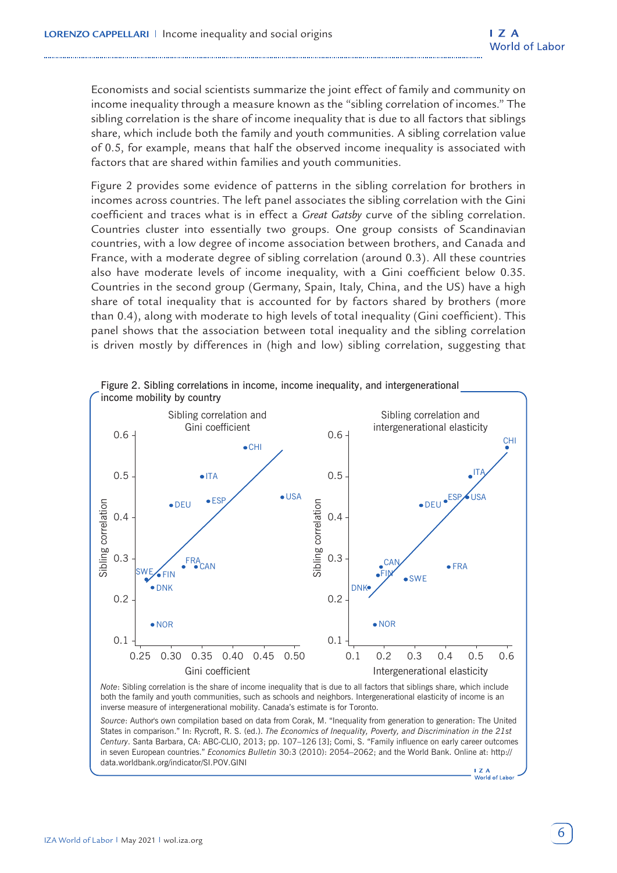Economists and social scientists summarize the joint effect of family and community on income inequality through a measure known as the "sibling correlation of incomes." The sibling correlation is the share of income inequality that is due to all factors that siblings share, which include both the family and youth communities. A sibling correlation value of 0.5, for example, means that half the observed income inequality is associated with factors that are shared within families and youth communities.

Figure 2 provides some evidence of patterns in the sibling correlation for brothers in incomes across countries. The left panel associates the sibling correlation with the Gini coefficient and traces what is in effect a *Great Gatsby* curve of the sibling correlation. Countries cluster into essentially two groups. One group consists of Scandinavian countries, with a low degree of income association between brothers, and Canada and France, with a moderate degree of sibling correlation (around 0.3). All these countries also have moderate levels of income inequality, with a Gini coefficient below 0.35. Countries in the second group (Germany, Spain, Italy, China, and the US) have a high share of total inequality that is accounted for by factors shared by brothers (more than 0.4), along with moderate to high levels of total inequality (Gini coefficient). This panel shows that the association between total inequality and the sibling correlation is driven mostly by differences in (high and low) sibling correlation, suggesting that



*Source*: Author's own compilation based on data from Corak, M. "Inequality from generation to generation: The United States in comparison." In: Rycroft, R. S. (ed.). *The Economics of Inequality, Poverty, and Discrimination in the 21st Century*. Santa Barbara, CA: ABC-CLIO, 2013; pp. 107–126 [3]; Comi, S. "Family influence on early career outcomes in seven European countries." *Economics Bulletin* 30:3 (2010): 2054–2062; and the World Bank. Online at: http:// data.worldbank.org/indicator/SI.POV.GINI

 $17A$  $\sum$   $\alpha$ <br>World of Labor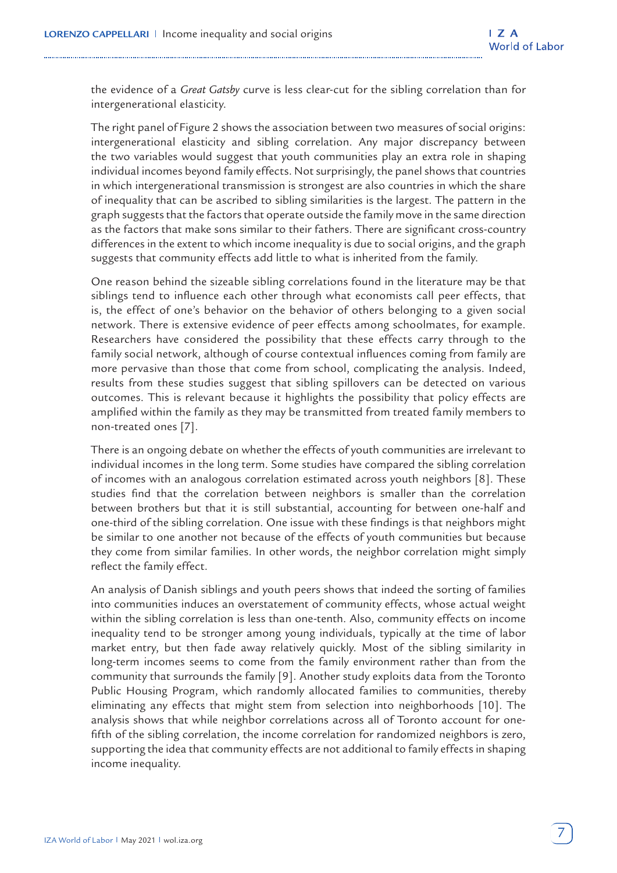the evidence of a *Great Gatsby* curve is less clear-cut for the sibling correlation than for intergenerational elasticity.

The right panel of Figure 2 shows the association between two measures of social origins: intergenerational elasticity and sibling correlation. Any major discrepancy between the two variables would suggest that youth communities play an extra role in shaping individual incomes beyond family effects. Not surprisingly, the panel shows that countries in which intergenerational transmission is strongest are also countries in which the share of inequality that can be ascribed to sibling similarities is the largest. The pattern in the graph suggests that the factors that operate outside the family move in the same direction as the factors that make sons similar to their fathers. There are significant cross-country differences in the extent to which income inequality is due to social origins, and the graph suggests that community effects add little to what is inherited from the family.

One reason behind the sizeable sibling correlations found in the literature may be that siblings tend to influence each other through what economists call peer effects, that is, the effect of one's behavior on the behavior of others belonging to a given social network. There is extensive evidence of peer effects among schoolmates, for example. Researchers have considered the possibility that these effects carry through to the family social network, although of course contextual influences coming from family are more pervasive than those that come from school, complicating the analysis. Indeed, results from these studies suggest that sibling spillovers can be detected on various outcomes. This is relevant because it highlights the possibility that policy effects are amplified within the family as they may be transmitted from treated family members to non-treated ones [7].

There is an ongoing debate on whether the effects of youth communities are irrelevant to individual incomes in the long term. Some studies have compared the sibling correlation of incomes with an analogous correlation estimated across youth neighbors [8]. These studies find that the correlation between neighbors is smaller than the correlation between brothers but that it is still substantial, accounting for between one-half and one-third of the sibling correlation. One issue with these findings is that neighbors might be similar to one another not because of the effects of youth communities but because they come from similar families. In other words, the neighbor correlation might simply reflect the family effect.

An analysis of Danish siblings and youth peers shows that indeed the sorting of families into communities induces an overstatement of community effects, whose actual weight within the sibling correlation is less than one-tenth. Also, community effects on income inequality tend to be stronger among young individuals, typically at the time of labor market entry, but then fade away relatively quickly. Most of the sibling similarity in long-term incomes seems to come from the family environment rather than from the community that surrounds the family [9]. Another study exploits data from the Toronto Public Housing Program, which randomly allocated families to communities, thereby eliminating any effects that might stem from selection into neighborhoods [10]. The analysis shows that while neighbor correlations across all of Toronto account for onefifth of the sibling correlation, the income correlation for randomized neighbors is zero, supporting the idea that community effects are not additional to family effects in shaping income inequality.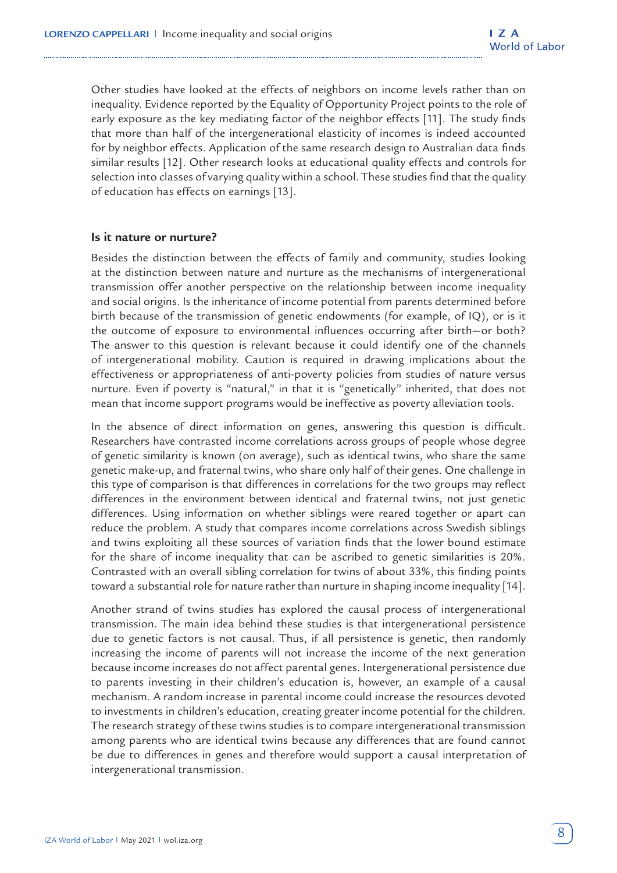Other studies have looked at the effects of neighbors on income levels rather than on inequality. Evidence reported by the Equality of Opportunity Project points to the role of early exposure as the key mediating factor of the neighbor effects [11]. The study finds that more than half of the intergenerational elasticity of incomes is indeed accounted for by neighbor effects. Application of the same research design to Australian data finds similar results [12]. Other research looks at educational quality effects and controls for selection into classes of varying quality within a school. These studies find that the quality of education has effects on earnings [13].

#### **Is it nature or nurture?**

Besides the distinction between the effects of family and community, studies looking at the distinction between nature and nurture as the mechanisms of intergenerational transmission offer another perspective on the relationship between income inequality and social origins. Is the inheritance of income potential from parents determined before birth because of the transmission of genetic endowments (for example, of IQ), or is it the outcome of exposure to environmental influences occurring after birth—or both? The answer to this question is relevant because it could identify one of the channels of intergenerational mobility. Caution is required in drawing implications about the effectiveness or appropriateness of anti-poverty policies from studies of nature versus nurture. Even if poverty is "natural," in that it is "genetically" inherited, that does not mean that income support programs would be ineffective as poverty alleviation tools.

In the absence of direct information on genes, answering this question is difficult. Researchers have contrasted income correlations across groups of people whose degree of genetic similarity is known (on average), such as identical twins, who share the same genetic make-up, and fraternal twins, who share only half of their genes. One challenge in this type of comparison is that differences in correlations for the two groups may reflect differences in the environment between identical and fraternal twins, not just genetic differences. Using information on whether siblings were reared together or apart can reduce the problem. A study that compares income correlations across Swedish siblings and twins exploiting all these sources of variation finds that the lower bound estimate for the share of income inequality that can be ascribed to genetic similarities is 20%. Contrasted with an overall sibling correlation for twins of about 33%, this finding points toward a substantial role for nature rather than nurture in shaping income inequality [14].

Another strand of twins studies has explored the causal process of intergenerational transmission. The main idea behind these studies is that intergenerational persistence due to genetic factors is not causal. Thus, if all persistence is genetic, then randomly increasing the income of parents will not increase the income of the next generation because income increases do not affect parental genes. Intergenerational persistence due to parents investing in their children's education is, however, an example of a causal mechanism. A random increase in parental income could increase the resources devoted to investments in children's education, creating greater income potential for the children. The research strategy of these twins studies is to compare intergenerational transmission among parents who are identical twins because any differences that are found cannot be due to differences in genes and therefore would support a causal interpretation of intergenerational transmission.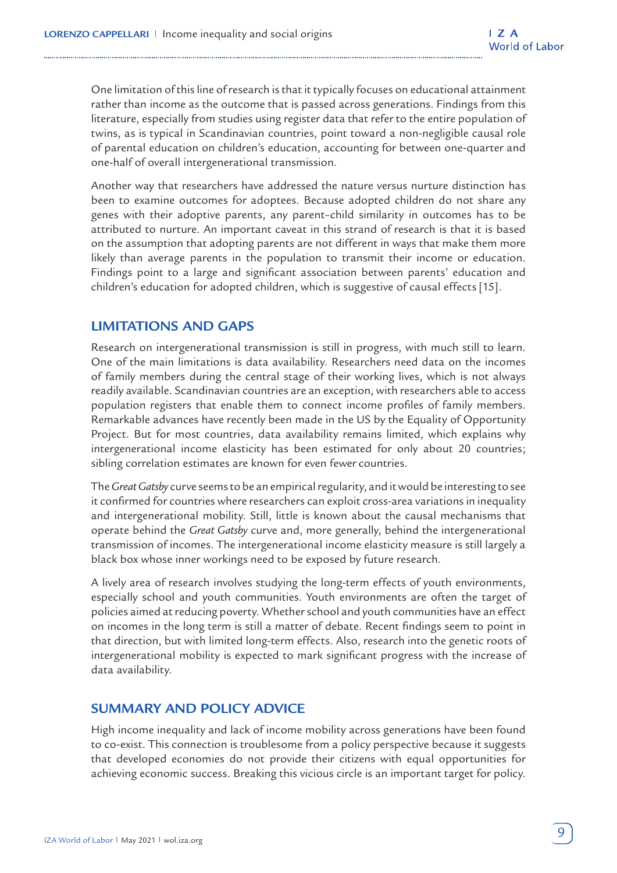One limitation of this line of research is that it typically focuses on educational attainment rather than income as the outcome that is passed across generations. Findings from this literature, especially from studies using register data that refer to the entire population of twins, as is typical in Scandinavian countries, point toward a non-negligible causal role of parental education on children's education, accounting for between one-quarter and one-half of overall intergenerational transmission.

Another way that researchers have addressed the nature versus nurture distinction has been to examine outcomes for adoptees. Because adopted children do not share any genes with their adoptive parents, any parent–child similarity in outcomes has to be attributed to nurture. An important caveat in this strand of research is that it is based on the assumption that adopting parents are not different in ways that make them more likely than average parents in the population to transmit their income or education. Findings point to a large and significant association between parents' education and children's education for adopted children, which is suggestive of causal effects [15].

# **LIMITATIONS AND GAPS**

Research on intergenerational transmission is still in progress, with much still to learn. One of the main limitations is data availability. Researchers need data on the incomes of family members during the central stage of their working lives, which is not always readily available. Scandinavian countries are an exception, with researchers able to access population registers that enable them to connect income profiles of family members. Remarkable advances have recently been made in the US by the Equality of Opportunity Project. But for most countries, data availability remains limited, which explains why intergenerational income elasticity has been estimated for only about 20 countries; sibling correlation estimates are known for even fewer countries.

The *Great Gatsby* curve seems to be an empirical regularity, and it would be interesting to see it confirmed for countries where researchers can exploit cross-area variations in inequality and intergenerational mobility. Still, little is known about the causal mechanisms that operate behind the *Great Gatsby* curve and, more generally, behind the intergenerational transmission of incomes. The intergenerational income elasticity measure is still largely a black box whose inner workings need to be exposed by future research.

A lively area of research involves studying the long-term effects of youth environments, especially school and youth communities. Youth environments are often the target of policies aimed at reducing poverty. Whether school and youth communities have an effect on incomes in the long term is still a matter of debate. Recent findings seem to point in that direction, but with limited long-term effects. Also, research into the genetic roots of intergenerational mobility is expected to mark significant progress with the increase of data availability.

# **SUMMARY AND POLICY ADVICE**

High income inequality and lack of income mobility across generations have been found to co-exist. This connection is troublesome from a policy perspective because it suggests that developed economies do not provide their citizens with equal opportunities for achieving economic success. Breaking this vicious circle is an important target for policy.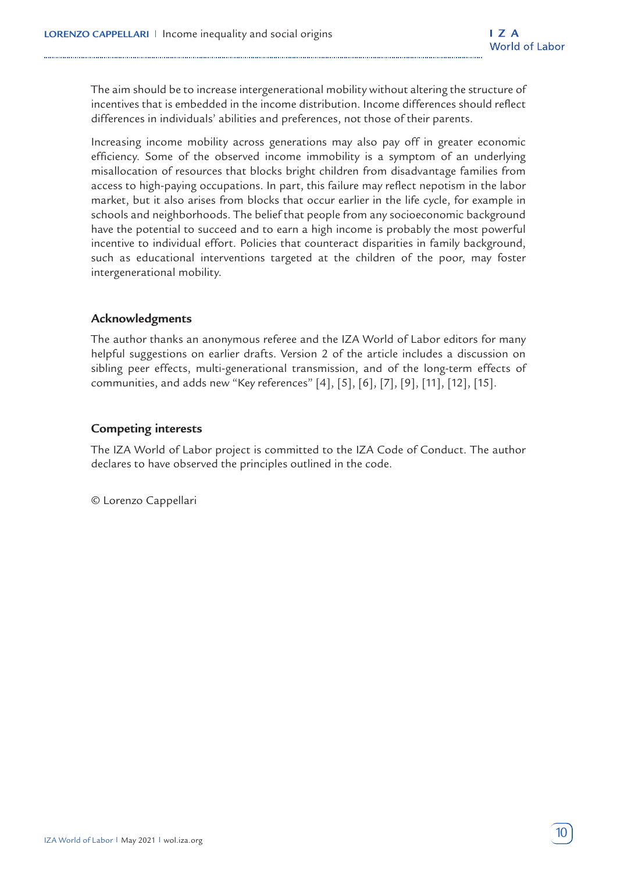The aim should be to increase intergenerational mobility without altering the structure of incentives that is embedded in the income distribution. Income differences should reflect differences in individuals' abilities and preferences, not those of their parents.

Increasing income mobility across generations may also pay off in greater economic efficiency. Some of the observed income immobility is a symptom of an underlying misallocation of resources that blocks bright children from disadvantage families from access to high-paying occupations. In part, this failure may reflect nepotism in the labor market, but it also arises from blocks that occur earlier in the life cycle, for example in schools and neighborhoods. The belief that people from any socioeconomic background have the potential to succeed and to earn a high income is probably the most powerful incentive to individual effort. Policies that counteract disparities in family background, such as educational interventions targeted at the children of the poor, may foster intergenerational mobility.

#### **Acknowledgments**

The author thanks an anonymous referee and the IZA World of Labor editors for many helpful suggestions on earlier drafts. Version 2 of the article includes a discussion on sibling peer effects, multi-generational transmission, and of the long-term effects of communities, and adds new "Key references" [4], [5], [6], [7], [9], [11], [12], [15].

#### **Competing interests**

The IZA World of Labor project is committed to the IZA Code of Conduct. The author declares to have observed the principles outlined in the code.

© Lorenzo Cappellari